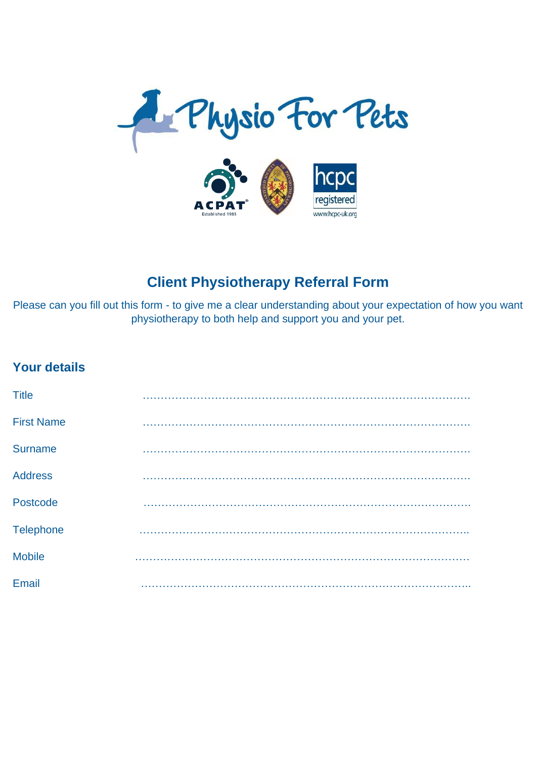

## **Client Physiotherapy Referral Form**

Please can you fill out this form - to give me a clear understanding about your expectation of how you want physiotherapy to both help and support you and your pet.

## **Your details**

| <b>Title</b>      |   |
|-------------------|---|
| <b>First Name</b> |   |
| <b>Surname</b>    | . |
| <b>Address</b>    |   |
| Postcode          |   |
| <b>Telephone</b>  |   |
| <b>Mobile</b>     |   |
| Email             |   |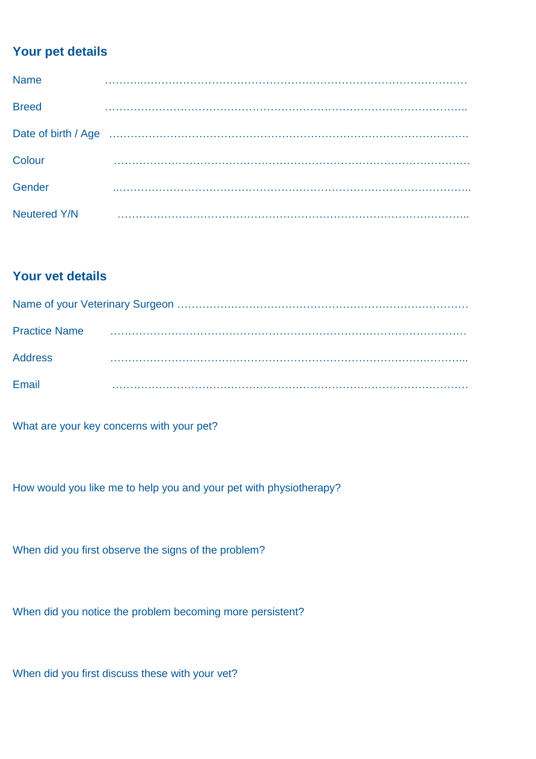## **Your pet details**

| <b>Name</b>         |  |
|---------------------|--|
| <b>Breed</b>        |  |
|                     |  |
| Colour              |  |
| Gender              |  |
| <b>Neutered Y/N</b> |  |

## **Your vet details**

| <b>Practice Name</b> |  |
|----------------------|--|
| <b>Address</b>       |  |
| Email                |  |

What are your key concerns with your pet?

How would you like me to help you and your pet with physiotherapy?

When did you first observe the signs of the problem?

When did you notice the problem becoming more persistent?

When did you first discuss these with your vet?